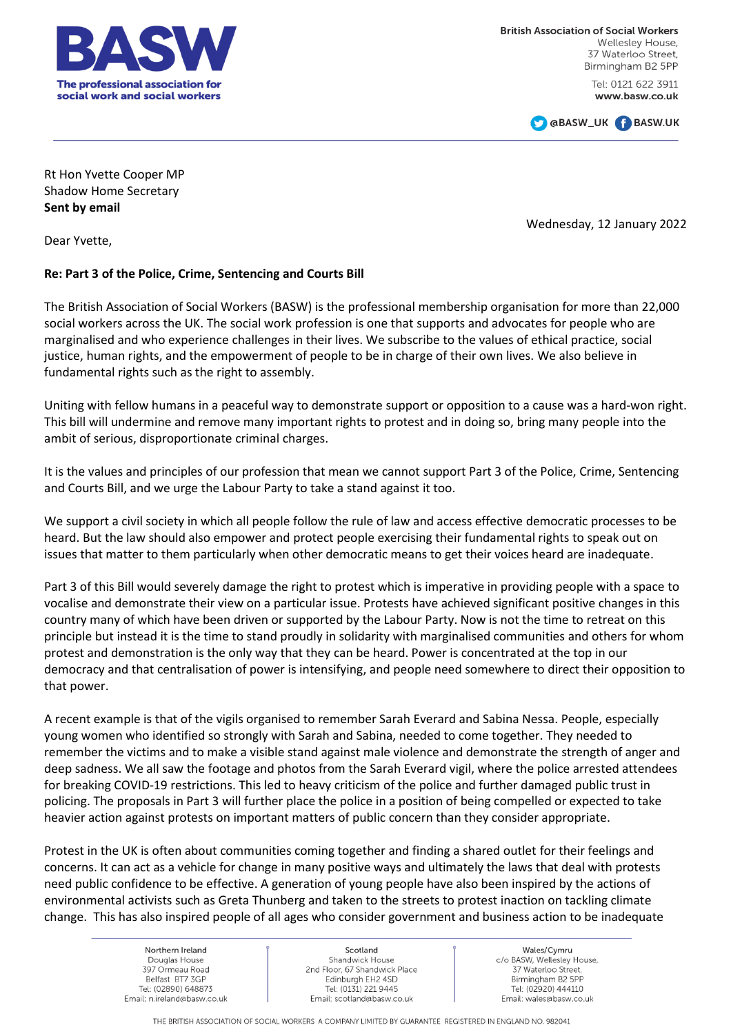

**British Association of Social Workers** Wellesley House 37 Waterloo Street, Birmingham B2 5PP

> Tel: 0121 622 3911 www.basw.co.uk



Rt Hon Yvette Cooper MP Shadow Home Secretary **Sent by email**

Wednesday, 12 January 2022

Dear Yvette,

## **Re: Part 3 of the Police, Crime, Sentencing and Courts Bill**

The British Association of Social Workers (BASW) is the professional membership organisation for more than 22,000 social workers across the UK. The social work profession is one that supports and advocates for people who are marginalised and who experience challenges in their lives. We subscribe to the values of ethical practice, social justice, human rights, and the empowerment of people to be in charge of their own lives. We also believe in fundamental rights such as the right to assembly.

Uniting with fellow humans in a peaceful way to demonstrate support or opposition to a cause was a hard-won right. This bill will undermine and remove many important rights to protest and in doing so, bring many people into the ambit of serious, disproportionate criminal charges.

It is the values and principles of our profession that mean we cannot support Part 3 of the Police, Crime, Sentencing and Courts Bill, and we urge the Labour Party to take a stand against it too.

We support a civil society in which all people follow the rule of law and access effective democratic processes to be heard. But the law should also empower and protect people exercising their fundamental rights to speak out on issues that matter to them particularly when other democratic means to get their voices heard are inadequate.

Part 3 of this Bill would severely damage the right to protest which is imperative in providing people with a space to vocalise and demonstrate their view on a particular issue. Protests have achieved significant positive changes in this country many of which have been driven or supported by the Labour Party. Now is not the time to retreat on this principle but instead it is the time to stand proudly in solidarity with marginalised communities and others for whom protest and demonstration is the only way that they can be heard. Power is concentrated at the top in our democracy and that centralisation of power is intensifying, and people need somewhere to direct their opposition to that power.

A recent example is that of the vigils organised to remember Sarah Everard and Sabina Nessa. People, especially young women who identified so strongly with Sarah and Sabina, needed to come together. They needed to remember the victims and to make a visible stand against male violence and demonstrate the strength of anger and deep sadness. We all saw the footage and photos from the Sarah Everard vigil, where the police arrested attendees for breaking COVID-19 restrictions. This led to heavy criticism of the police and further damaged public trust in policing. The proposals in Part 3 will further place the police in a position of being compelled or expected to take heavier action against protests on important matters of public concern than they consider appropriate.

Protest in the UK is often about communities coming together and finding a shared outlet for their feelings and concerns. It can act as a vehicle for change in many positive ways and ultimately the laws that deal with protests need public confidence to be effective. A generation of young people have also been inspired by the actions of environmental activists such as Greta Thunberg and taken to the streets to protest inaction on tackling climate change. This has also inspired people of all ages who consider government and business action to be inadequate

> Northern Ireland Douglas House 397 Ormeau Road Belfast BT7 3GP Tel: (02890) 648873 Email: n.ireland@basw.co.uk

Scotland Shandwick House 2nd Floor, 67 Shandwick Place Edinburgh EH2 4SD Tel: (0131) 221 9445 Email: scotland@basw.co.uk

Wales/Cymru c/o BASW, Wellesley House, 37 Waterloo Street. Birmingham B2 5PP Tel: (02920) 444110 Email: wales@basw.co.uk